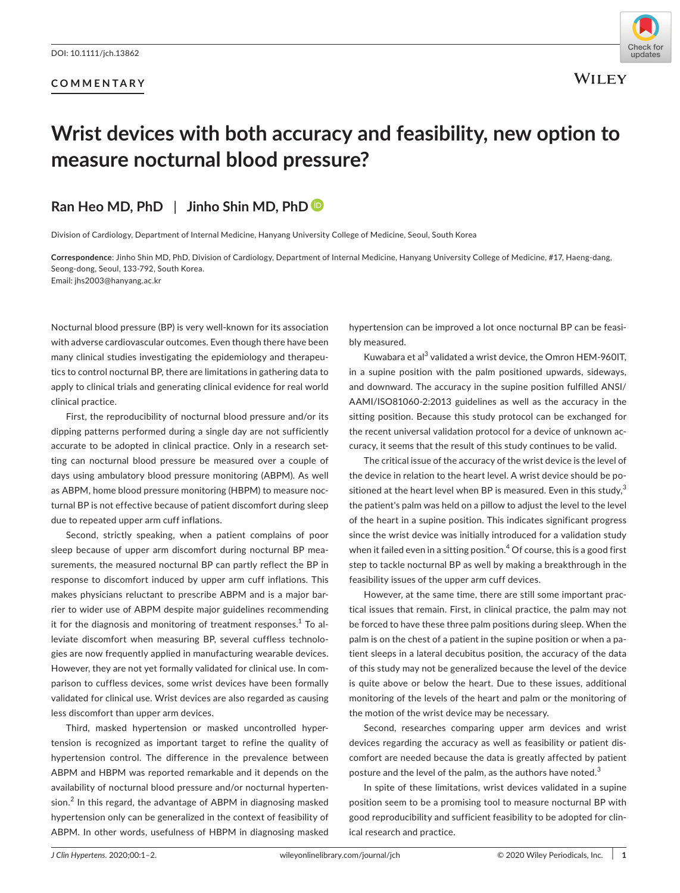#### **COMMENTARY**



**WILEY** 

# **Wrist devices with both accuracy and feasibility, new option to measure nocturnal blood pressure?**

# **Ran Heo MD, PhD** | **Jinho Shin MD, Ph[D](https://orcid.org/0000-0001-6706-6504)**

Division of Cardiology, Department of Internal Medicine, Hanyang University College of Medicine, Seoul, South Korea

**Correspondence**: Jinho Shin MD, PhD, Division of Cardiology, Department of Internal Medicine, Hanyang University College of Medicine, #17, Haeng-dang, Seong-dong, Seoul, 133-792, South Korea. Email: [jhs2003@hanyang.ac.kr](mailto:jhs2003@hanyang.ac.kr)

Nocturnal blood pressure (BP) is very well-known for its association with adverse cardiovascular outcomes. Even though there have been many clinical studies investigating the epidemiology and therapeutics to control nocturnal BP, there are limitations in gathering data to apply to clinical trials and generating clinical evidence for real world clinical practice.

First, the reproducibility of nocturnal blood pressure and/or its dipping patterns performed during a single day are not sufficiently accurate to be adopted in clinical practice. Only in a research setting can nocturnal blood pressure be measured over a couple of days using ambulatory blood pressure monitoring (ABPM). As well as ABPM, home blood pressure monitoring (HBPM) to measure nocturnal BP is not effective because of patient discomfort during sleep due to repeated upper arm cuff inflations.

Second, strictly speaking, when a patient complains of poor sleep because of upper arm discomfort during nocturnal BP measurements, the measured nocturnal BP can partly reflect the BP in response to discomfort induced by upper arm cuff inflations. This makes physicians reluctant to prescribe ABPM and is a major barrier to wider use of ABPM despite major guidelines recommending it for the diagnosis and monitoring of treatment responses. $^{\rm 1}$  To alleviate discomfort when measuring BP, several cuffless technologies are now frequently applied in manufacturing wearable devices. However, they are not yet formally validated for clinical use. In comparison to cuffless devices, some wrist devices have been formally validated for clinical use. Wrist devices are also regarded as causing less discomfort than upper arm devices.

Third, masked hypertension or masked uncontrolled hypertension is recognized as important target to refine the quality of hypertension control. The difference in the prevalence between ABPM and HBPM was reported remarkable and it depends on the availability of nocturnal blood pressure and/or nocturnal hypertension. $^2$  In this regard, the advantage of ABPM in diagnosing masked hypertension only can be generalized in the context of feasibility of ABPM. In other words, usefulness of HBPM in diagnosing masked

hypertension can be improved a lot once nocturnal BP can be feasibly measured.

Kuwabara et al<sup>3</sup> validated a wrist device, the Omron HEM-960IT, in a supine position with the palm positioned upwards, sideways, and downward. The accuracy in the supine position fulfilled ANSI/ AAMI/ISO81060-2:2013 guidelines as well as the accuracy in the sitting position. Because this study protocol can be exchanged for the recent universal validation protocol for a device of unknown accuracy, it seems that the result of this study continues to be valid.

The critical issue of the accuracy of the wrist device is the level of the device in relation to the heart level. A wrist device should be positioned at the heart level when BP is measured. Even in this study, $3$ the patient's palm was held on a pillow to adjust the level to the level of the heart in a supine position. This indicates significant progress since the wrist device was initially introduced for a validation study when it failed even in a sitting position.<sup>4</sup> Of course, this is a good first step to tackle nocturnal BP as well by making a breakthrough in the feasibility issues of the upper arm cuff devices.

However, at the same time, there are still some important practical issues that remain. First, in clinical practice, the palm may not be forced to have these three palm positions during sleep. When the palm is on the chest of a patient in the supine position or when a patient sleeps in a lateral decubitus position, the accuracy of the data of this study may not be generalized because the level of the device is quite above or below the heart. Due to these issues, additional monitoring of the levels of the heart and palm or the monitoring of the motion of the wrist device may be necessary.

Second, researches comparing upper arm devices and wrist devices regarding the accuracy as well as feasibility or patient discomfort are needed because the data is greatly affected by patient posture and the level of the palm, as the authors have noted.<sup>3</sup>

In spite of these limitations, wrist devices validated in a supine position seem to be a promising tool to measure nocturnal BP with good reproducibility and sufficient feasibility to be adopted for clinical research and practice.